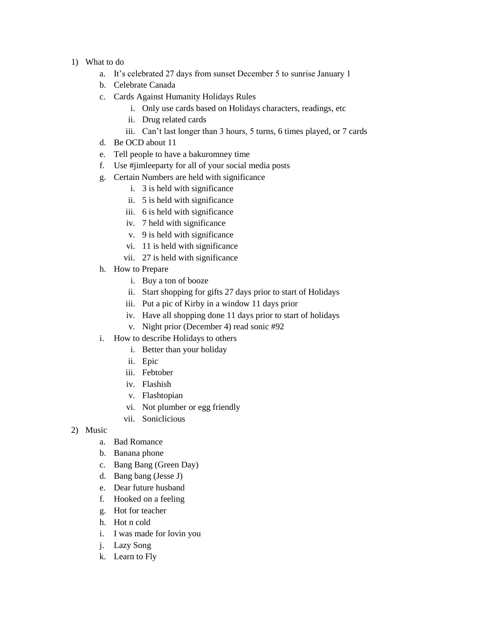- 1) What to do
	- a. It's celebrated 27 days from sunset December 5 to sunrise January 1
	- b. Celebrate Canada
	- c. Cards Against Humanity Holidays Rules
		- i. Only use cards based on Holidays characters, readings, etc
		- ii. Drug related cards
		- iii. Can't last longer than 3 hours, 5 turns, 6 times played, or 7 cards
	- d. Be OCD about 11
	- e. Tell people to have a bakuromney time
	- f. Use #jimleeparty for all of your social media posts
	- g. Certain Numbers are held with significance
		- i. 3 is held with significance
		- ii. 5 is held with significance
		- iii. 6 is held with significance
		- iv. 7 held with significance
		- v. 9 is held with significance
		- vi. 11 is held with significance
		- vii. 27 is held with significance
	- h. How to Prepare
		- i. Buy a ton of booze
		- ii. Start shopping for gifts 27 days prior to start of Holidays
		- iii. Put a pic of Kirby in a window 11 days prior
		- iv. Have all shopping done 11 days prior to start of holidays
		- v. Night prior (December 4) read sonic #92
	- i. How to describe Holidays to others
		- i. Better than your holiday
		- ii. Epic
		- iii. Febtober
		- iv. Flashish
		- v. Flashtopian
		- vi. Not plumber or egg friendly
		- vii. Soniclicious
- 2) Music
	- a. Bad Romance
	- b. Banana phone
	- c. Bang Bang (Green Day)
	- d. Bang bang (Jesse J)
	- e. Dear future husband
	- f. Hooked on a feeling
	- g. Hot for teacher
	- h. Hot n cold
	- i. I was made for lovin you
	- j. Lazy Song
	- k. Learn to Fly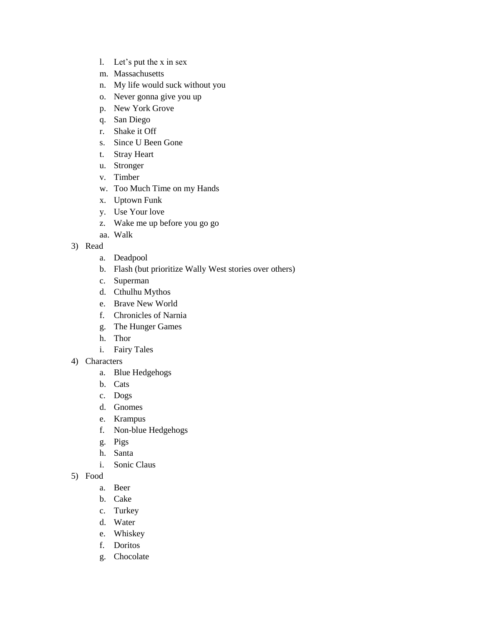- l. Let's put the x in sex
- m. Massachusetts
- n. My life would suck without you
- o. Never gonna give you up
- p. New York Grove
- q. San Diego
- r. Shake it Off
- s. Since U Been Gone
- t. Stray Heart
- u. Stronger
- v. Timber
- w. Too Much Time on my Hands
- x. Uptown Funk
- y. Use Your love
- z. Wake me up before you go go
- aa. Walk
- 3) Read
	- a. Deadpool
	- b. Flash (but prioritize Wally West stories over others)
	- c. Superman
	- d. Cthulhu Mythos
	- e. Brave New World
	- f. Chronicles of Narnia
	- g. The Hunger Games
	- h. Thor
	- i. Fairy Tales
- 4) Characters
	- a. Blue Hedgehogs
	- b. Cats
	- c. Dogs
	- d. Gnomes
	- e. Krampus
	- f. Non-blue Hedgehogs
	- g. Pigs
	- h. Santa
	- i. Sonic Claus
- 5) Food
	- a. Beer
	- b. Cake
	- c. Turkey
	- d. Water
	- e. Whiskey
	- f. Doritos
	- g. Chocolate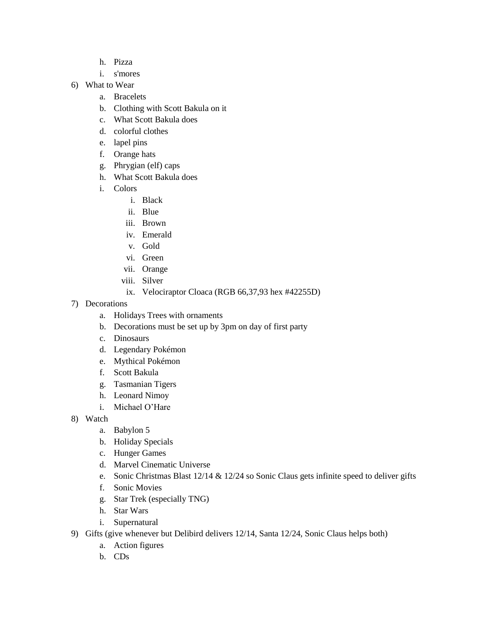- h. Pizza
- i. s'mores
- 6) What to Wear
	- a. Bracelets
	- b. Clothing with Scott Bakula on it
	- c. What Scott Bakula does
	- d. colorful clothes
	- e. lapel pins
	- f. Orange hats
	- g. Phrygian (elf) caps
	- h. What Scott Bakula does
	- i. Colors
		- i. Black
		- ii. Blue
		- iii. Brown
		- iv. Emerald
		- v. Gold
		- vi. Green
		- vii. Orange
		- viii. Silver
		- ix. Velociraptor Cloaca (RGB 66,37,93 hex #42255D)
- 7) Decorations
	- a. Holidays Trees with ornaments
	- b. Decorations must be set up by 3pm on day of first party
	- c. Dinosaurs
	- d. Legendary Pokémon
	- e. Mythical Pokémon
	- f. Scott Bakula
	- g. Tasmanian Tigers
	- h. Leonard Nimoy
	- i. Michael O'Hare
- 8) Watch
	- a. Babylon 5
	- b. Holiday Specials
	- c. Hunger Games
	- d. Marvel Cinematic Universe
	- e. Sonic Christmas Blast 12/14 & 12/24 so Sonic Claus gets infinite speed to deliver gifts
	- f. Sonic Movies
	- g. Star Trek (especially TNG)
	- h. Star Wars
	- i. Supernatural
- 9) Gifts (give whenever but Delibird delivers 12/14, Santa 12/24, Sonic Claus helps both)
	- a. Action figures
	- b. CDs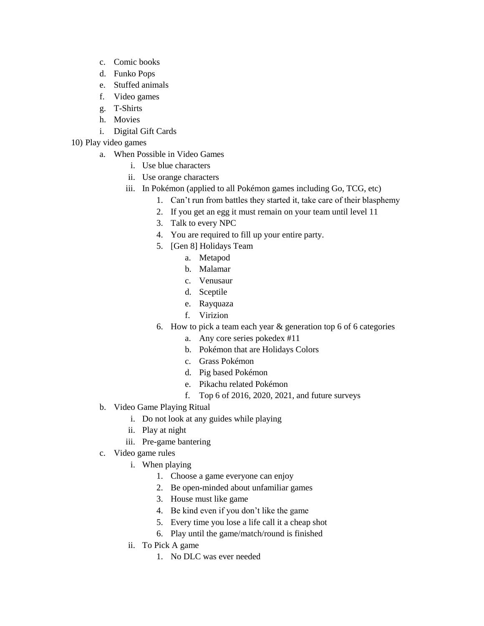- c. Comic books
- d. Funko Pops
- e. Stuffed animals
- f. Video games
- g. T-Shirts
- h. Movies
- i. Digital Gift Cards
- 10) Play video games
	- a. When Possible in Video Games
		- i. Use blue characters
		- ii. Use orange characters
		- iii. In Pokémon (applied to all Pokémon games including Go, TCG, etc)
			- 1. Can't run from battles they started it, take care of their blasphemy
				- 2. If you get an egg it must remain on your team until level 11
				- 3. Talk to every NPC
				- 4. You are required to fill up your entire party.
				- 5. [Gen 8] Holidays Team
					- a. Metapod
						- b. Malamar
						- c. Venusaur
						- d. Sceptile
						- e. Rayquaza
					- f. Virizion
				- 6. How to pick a team each year & generation top 6 of 6 categories
					- a. Any core series pokedex #11
					- b. Pokémon that are Holidays Colors
					- c. Grass Pokémon
					- d. Pig based Pokémon
					- e. Pikachu related Pokémon
					- f. Top 6 of 2016, 2020, 2021, and future surveys
	- b. Video Game Playing Ritual
		- i. Do not look at any guides while playing
		- ii. Play at night
		- iii. Pre-game bantering
	- c. Video game rules
		- i. When playing
			- 1. Choose a game everyone can enjoy
			- 2. Be open-minded about unfamiliar games
			- 3. House must like game
			- 4. Be kind even if you don't like the game
			- 5. Every time you lose a life call it a cheap shot
			- 6. Play until the game/match/round is finished
		- ii. To Pick A game
			- 1. No DLC was ever needed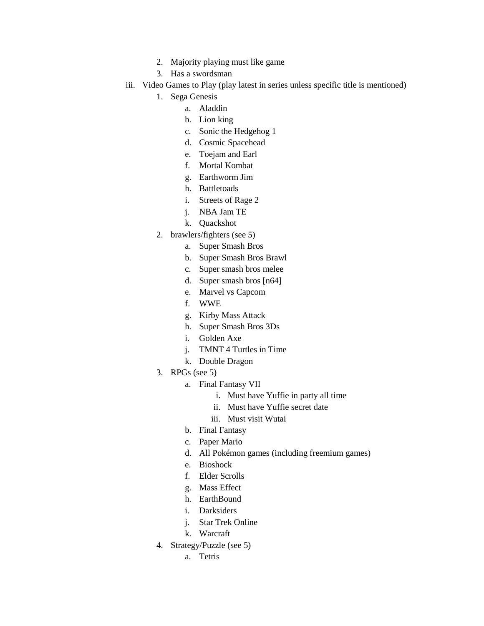- 2. Majority playing must like game
- 3. Has a swordsman
- iii. Video Games to Play (play latest in series unless specific title is mentioned)
	- 1. Sega Genesis
		- a. Aladdin
		- b. Lion king
		- c. Sonic the Hedgehog 1
		- d. Cosmic Spacehead
		- e. Toejam and Earl
		- f. Mortal Kombat
		- g. Earthworm Jim
		- h. Battletoads
		- i. Streets of Rage 2
		- j. NBA Jam TE
		- k. Quackshot
	- 2. brawlers/fighters (see 5)
		- a. Super Smash Bros
		- b. Super Smash Bros Brawl
		- c. Super smash bros melee
		- d. Super smash bros [n64]
		- e. Marvel vs Capcom
		- f. WWE
		- g. Kirby Mass Attack
		- h. Super Smash Bros 3Ds
		- i. Golden Axe
		- j. TMNT 4 Turtles in Time
		- k. Double Dragon
	- 3. RPGs (see 5)
		- a. Final Fantasy VII
			- i. Must have Yuffie in party all time
			- ii. Must have Yuffie secret date
			- iii. Must visit Wutai
		- b. Final Fantasy
		- c. Paper Mario
		- d. All Pokémon games (including freemium games)
		- e. Bioshock
		- f. Elder Scrolls
		- g. Mass Effect
		- h. EarthBound
		- i. Darksiders
		- j. Star Trek Online
		- k. Warcraft
	- 4. Strategy/Puzzle (see 5)
		- a. Tetris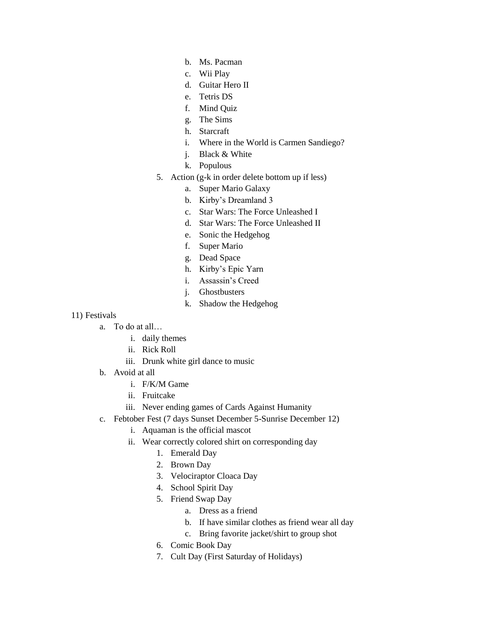- b. Ms. Pacman
- c. Wii Play
- d. Guitar Hero II
- e. Tetris DS
- f. Mind Quiz
- g. The Sims
- h. Starcraft
- i. Where in the World is Carmen Sandiego?
- j. Black & White
- k. Populous
- 5. Action (g-k in order delete bottom up if less)
	- a. Super Mario Galaxy
	- b. Kirby's Dreamland 3
	- c. Star Wars: The Force Unleashed I
	- d. Star Wars: The Force Unleashed II
	- e. Sonic the Hedgehog
	- f. Super Mario
	- g. Dead Space
	- h. Kirby's Epic Yarn
	- i. Assassin's Creed
	- j. Ghostbusters
	- k. Shadow the Hedgehog

## 11) Festivals

- a. To do at all…
	- i. daily themes
	- ii. Rick Roll
	- iii. Drunk white girl dance to music
- b. Avoid at all
	- i. F/K/M Game
	- ii. Fruitcake
	- iii. Never ending games of Cards Against Humanity
- c. Febtober Fest (7 days Sunset December 5-Sunrise December 12)
	- i. Aquaman is the official mascot
	- ii. Wear correctly colored shirt on corresponding day
		- 1. Emerald Day
		- 2. Brown Day
		- 3. Velociraptor Cloaca Day
		- 4. School Spirit Day
		- 5. Friend Swap Day
			- a. Dress as a friend
			- b. If have similar clothes as friend wear all day
			- c. Bring favorite jacket/shirt to group shot
		- 6. Comic Book Day
		- 7. Cult Day (First Saturday of Holidays)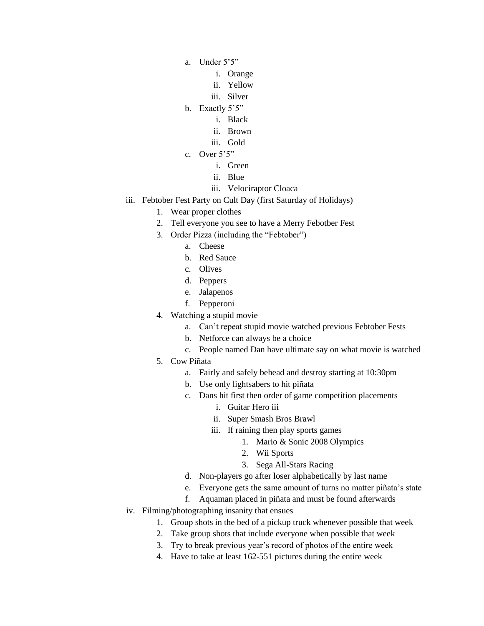- a. Under 5'5"
	- i. Orange
	- ii. Yellow
	- iii. Silver
- b. Exactly 5'5"
	- i. Black
	- ii. Brown
	- iii. Gold
- c. Over 5'5"
	- i. Green
	- ii. Blue
	- iii. Velociraptor Cloaca
- iii. Febtober Fest Party on Cult Day (first Saturday of Holidays)
	- 1. Wear proper clothes
	- 2. Tell everyone you see to have a Merry Febotber Fest
	- 3. Order Pizza (including the "Febtober")
		- a. Cheese
		- b. Red Sauce
		- c. Olives
		- d. Peppers
		- e. Jalapenos
		- f. Pepperoni
	- 4. Watching a stupid movie
		- a. Can't repeat stupid movie watched previous Febtober Fests
		- b. Netforce can always be a choice
		- c. People named Dan have ultimate say on what movie is watched
	- 5. Cow Piñata
		- a. Fairly and safely behead and destroy starting at 10:30pm
		- b. Use only lightsabers to hit piñata
		- c. Dans hit first then order of game competition placements
			- i. Guitar Hero iii
			- ii. Super Smash Bros Brawl
			- iii. If raining then play sports games
				- 1. Mario & Sonic 2008 Olympics
					- 2. Wii Sports
					- 3. Sega All-Stars Racing
		- d. Non-players go after loser alphabetically by last name
		- e. Everyone gets the same amount of turns no matter piñata's state
		- f. Aquaman placed in piñata and must be found afterwards
- iv. Filming/photographing insanity that ensues
	- 1. Group shots in the bed of a pickup truck whenever possible that week
	- 2. Take group shots that include everyone when possible that week
	- 3. Try to break previous year's record of photos of the entire week
	- 4. Have to take at least 162-551 pictures during the entire week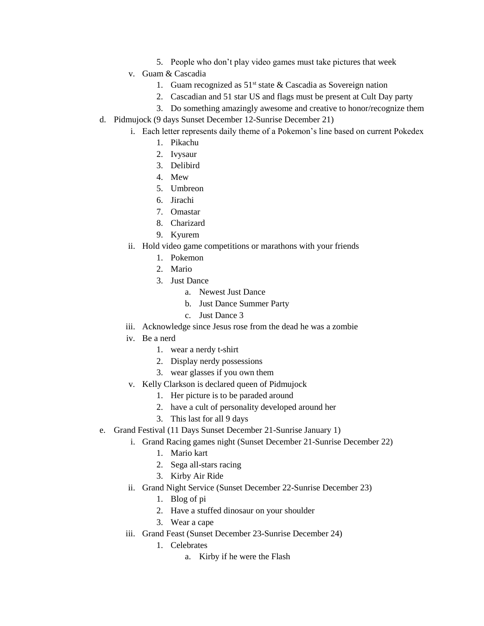- 5. People who don't play video games must take pictures that week
- v. Guam & Cascadia
	- 1. Guam recognized as  $51<sup>st</sup>$  state & Cascadia as Sovereign nation
	- 2. Cascadian and 51 star US and flags must be present at Cult Day party
	- 3. Do something amazingly awesome and creative to honor/recognize them
- d. Pidmujock (9 days Sunset December 12-Sunrise December 21)
	- i. Each letter represents daily theme of a Pokemon's line based on current Pokedex
		- 1. Pikachu
		- 2. Ivysaur
		- 3. Delibird
		- 4. Mew
		- 5. Umbreon
		- 6. Jirachi
		- 7. Omastar
		- 8. Charizard
		- 9. Kyurem
	- ii. Hold video game competitions or marathons with your friends
		- 1. Pokemon
		- 2. Mario
		- 3. Just Dance
			- a. Newest Just Dance
			- b. Just Dance Summer Party
			- c. Just Dance 3
	- iii. Acknowledge since Jesus rose from the dead he was a zombie
	- iv. Be a nerd
		- 1. wear a nerdy t-shirt
		- 2. Display nerdy possessions
		- 3. wear glasses if you own them
	- v. Kelly Clarkson is declared queen of Pidmujock
		- 1. Her picture is to be paraded around
		- 2. have a cult of personality developed around her
		- 3. This last for all 9 days
- e. Grand Festival (11 Days Sunset December 21-Sunrise January 1)
	- i. Grand Racing games night (Sunset December 21-Sunrise December 22)
		- 1. Mario kart
		- 2. Sega all-stars racing
		- 3. Kirby Air Ride
	- ii. Grand Night Service (Sunset December 22-Sunrise December 23)
		- 1. Blog of pi
		- 2. Have a stuffed dinosaur on your shoulder
		- 3. Wear a cape
	- iii. Grand Feast (Sunset December 23-Sunrise December 24)
		- 1. Celebrates
			- a. Kirby if he were the Flash